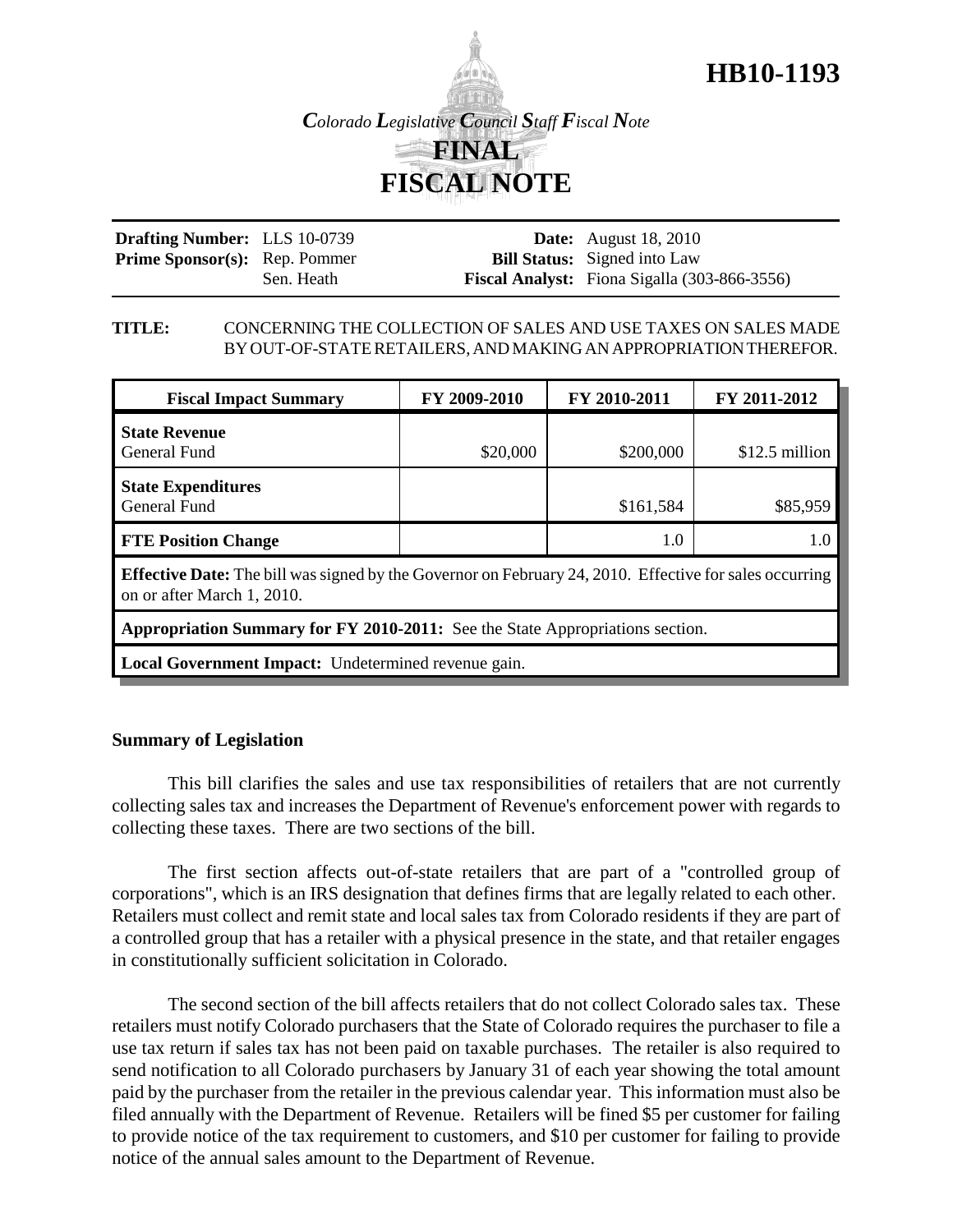

**HB10-1193**

| <b>Drafting Number:</b> LLS 10-0739  |            | <b>Date:</b> August 18, 2010                        |
|--------------------------------------|------------|-----------------------------------------------------|
| <b>Prime Sponsor(s):</b> Rep. Pommer |            | <b>Bill Status:</b> Signed into Law                 |
|                                      | Sen. Heath | <b>Fiscal Analyst:</b> Fiona Sigalla (303-866-3556) |

## **TITLE:** CONCERNING THE COLLECTION OF SALES AND USE TAXES ON SALES MADE BY OUT-OF-STATE RETAILERS, AND MAKING AN APPROPRIATION THEREFOR.

| <b>Fiscal Impact Summary</b>                                                                                                                 | FY 2009-2010 | FY 2010-2011 | FY 2011-2012    |  |  |
|----------------------------------------------------------------------------------------------------------------------------------------------|--------------|--------------|-----------------|--|--|
| <b>State Revenue</b><br>General Fund                                                                                                         | \$20,000     | \$200,000    | $$12.5$ million |  |  |
| <b>State Expenditures</b><br><b>General Fund</b>                                                                                             |              | \$161,584    | \$85,959        |  |  |
| <b>FTE Position Change</b>                                                                                                                   |              | 1.0          | 1.0             |  |  |
| <b>Effective Date:</b> The bill was signed by the Governor on February 24, 2010. Effective for sales occurring<br>on or after March 1, 2010. |              |              |                 |  |  |
| <b>Appropriation Summary for FY 2010-2011:</b> See the State Appropriations section.                                                         |              |              |                 |  |  |
| Local Government Impact: Undetermined revenue gain.                                                                                          |              |              |                 |  |  |

# **Summary of Legislation**

This bill clarifies the sales and use tax responsibilities of retailers that are not currently collecting sales tax and increases the Department of Revenue's enforcement power with regards to collecting these taxes. There are two sections of the bill.

The first section affects out-of-state retailers that are part of a "controlled group of corporations", which is an IRS designation that defines firms that are legally related to each other. Retailers must collect and remit state and local sales tax from Colorado residents if they are part of a controlled group that has a retailer with a physical presence in the state, and that retailer engages in constitutionally sufficient solicitation in Colorado.

The second section of the bill affects retailers that do not collect Colorado sales tax. These retailers must notify Colorado purchasers that the State of Colorado requires the purchaser to file a use tax return if sales tax has not been paid on taxable purchases. The retailer is also required to send notification to all Colorado purchasers by January 31 of each year showing the total amount paid by the purchaser from the retailer in the previous calendar year. This information must also be filed annually with the Department of Revenue. Retailers will be fined \$5 per customer for failing to provide notice of the tax requirement to customers, and \$10 per customer for failing to provide notice of the annual sales amount to the Department of Revenue.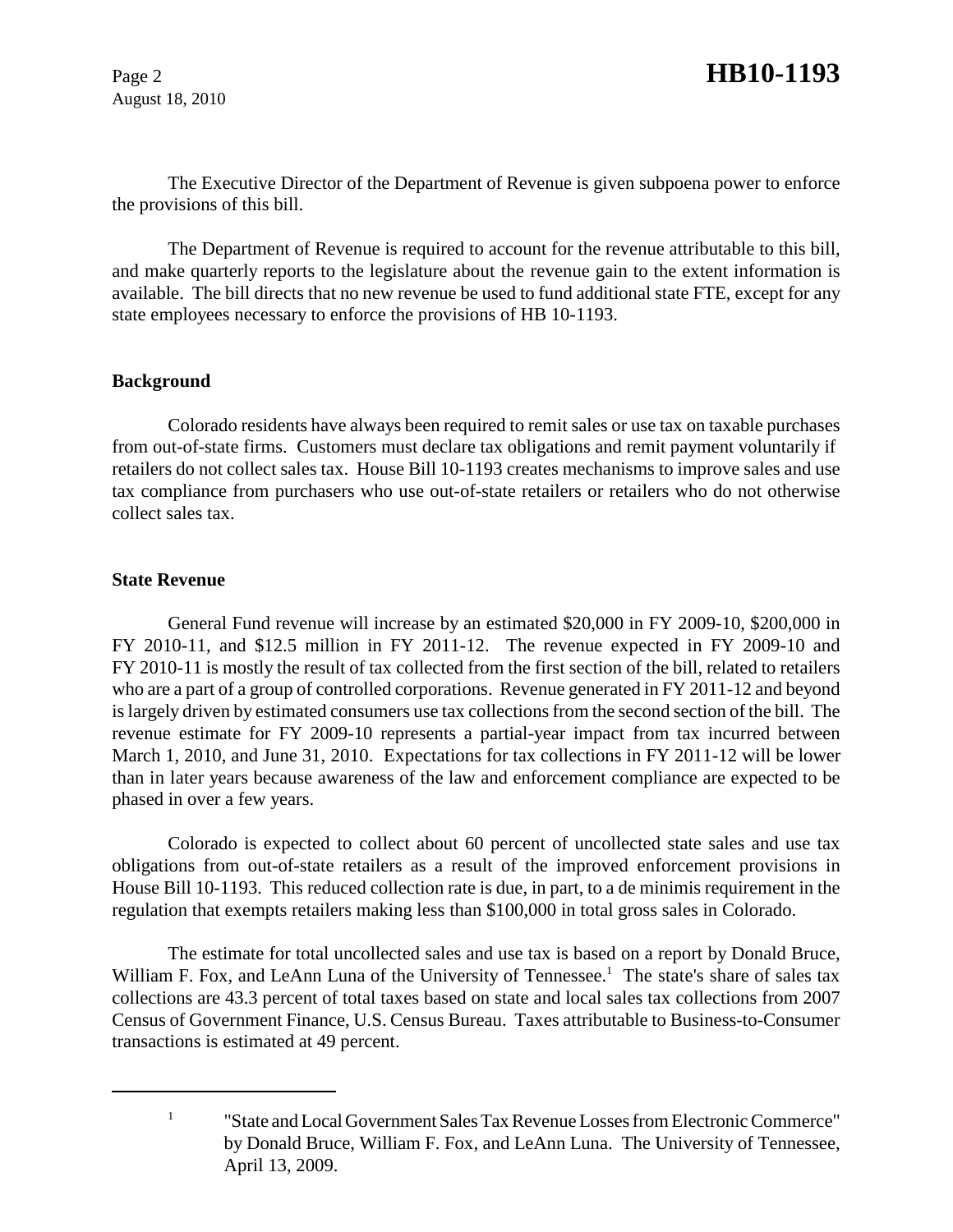August 18, 2010

The Executive Director of the Department of Revenue is given subpoena power to enforce the provisions of this bill.

The Department of Revenue is required to account for the revenue attributable to this bill, and make quarterly reports to the legislature about the revenue gain to the extent information is available. The bill directs that no new revenue be used to fund additional state FTE, except for any state employees necessary to enforce the provisions of HB 10-1193.

### **Background**

Colorado residents have always been required to remit sales or use tax on taxable purchases from out-of-state firms. Customers must declare tax obligations and remit payment voluntarily if retailers do not collect sales tax. House Bill 10-1193 creates mechanisms to improve sales and use tax compliance from purchasers who use out-of-state retailers or retailers who do not otherwise collect sales tax.

### **State Revenue**

General Fund revenue will increase by an estimated \$20,000 in FY 2009-10, \$200,000 in FY 2010-11, and \$12.5 million in FY 2011-12. The revenue expected in FY 2009-10 and FY 2010-11 is mostly the result of tax collected from the first section of the bill, related to retailers who are a part of a group of controlled corporations. Revenue generated in FY 2011-12 and beyond is largely driven by estimated consumers use tax collections from the second section of the bill. The revenue estimate for FY 2009-10 represents a partial-year impact from tax incurred between March 1, 2010, and June 31, 2010. Expectations for tax collections in FY 2011-12 will be lower than in later years because awareness of the law and enforcement compliance are expected to be phased in over a few years.

Colorado is expected to collect about 60 percent of uncollected state sales and use tax obligations from out-of-state retailers as a result of the improved enforcement provisions in House Bill 10-1193. This reduced collection rate is due, in part, to a de minimis requirement in the regulation that exempts retailers making less than \$100,000 in total gross sales in Colorado.

The estimate for total uncollected sales and use tax is based on a report by Donald Bruce, William F. Fox, and LeAnn Luna of the University of Tennessee.<sup>1</sup> The state's share of sales tax collections are 43.3 percent of total taxes based on state and local sales tax collections from 2007 Census of Government Finance, U.S. Census Bureau. Taxes attributable to Business-to-Consumer transactions is estimated at 49 percent.

<sup>&</sup>lt;sup>1</sup> "State and Local Government Sales Tax Revenue Losses from Electronic Commerce" by Donald Bruce, William F. Fox, and LeAnn Luna. The University of Tennessee, April 13, 2009.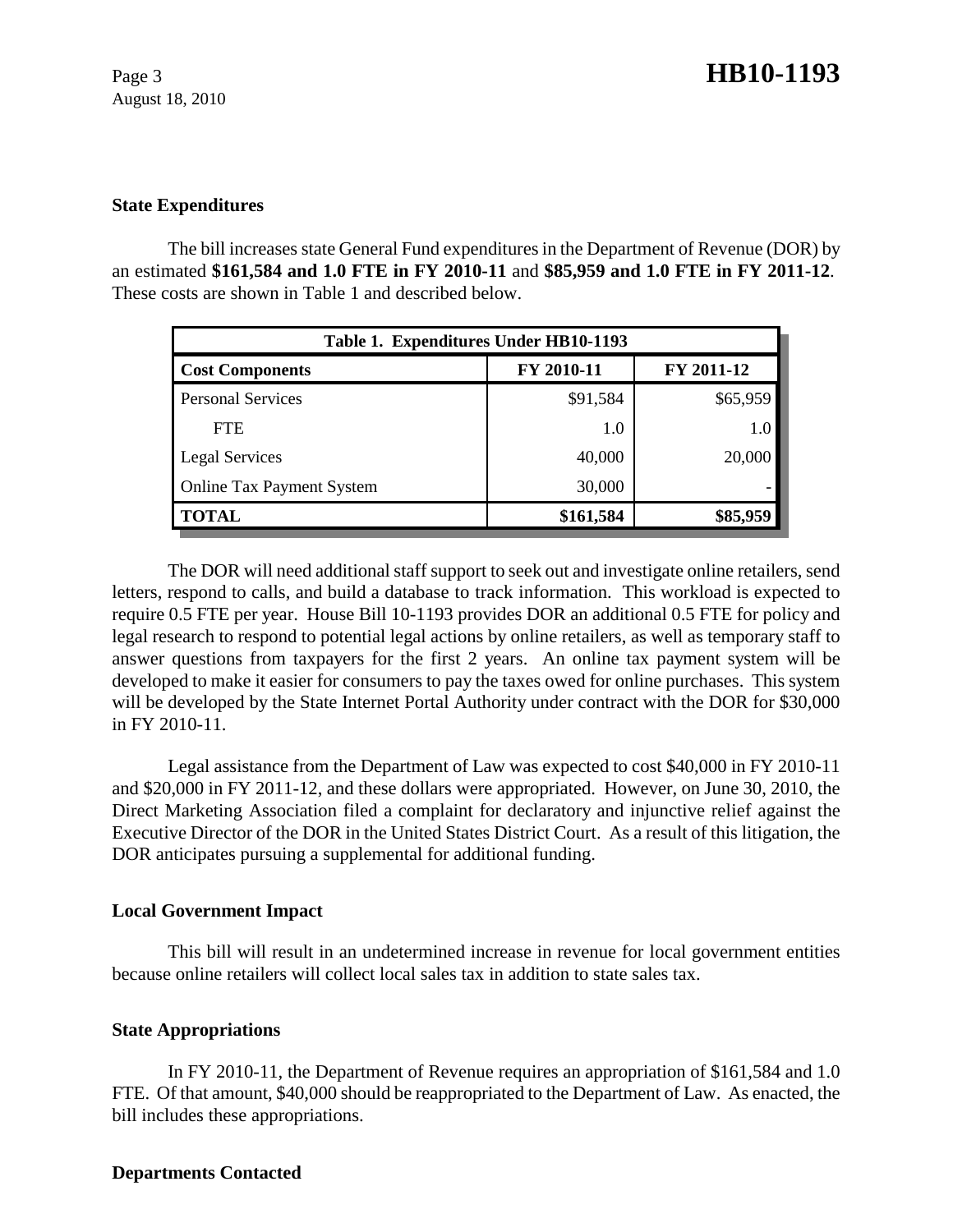August 18, 2010

## **State Expenditures**

The bill increases state General Fund expenditures in the Department of Revenue (DOR) by an estimated **\$161,584 and 1.0 FTE in FY 2010-11** and **\$85,959 and 1.0 FTE in FY 2011-12**. These costs are shown in Table 1 and described below.

| Table 1. Expenditures Under HB10-1193 |            |            |  |  |  |
|---------------------------------------|------------|------------|--|--|--|
| <b>Cost Components</b>                | FY 2010-11 | FY 2011-12 |  |  |  |
| <b>Personal Services</b>              | \$91,584   | \$65,959   |  |  |  |
| <b>FTE</b>                            | 1.0        | 1.0        |  |  |  |
| <b>Legal Services</b>                 | 40,000     | 20,000     |  |  |  |
| <b>Online Tax Payment System</b>      | 30,000     |            |  |  |  |
| <b>TOTAL</b>                          | \$161,584  | \$85,959   |  |  |  |

The DOR will need additional staff support to seek out and investigate online retailers, send letters, respond to calls, and build a database to track information. This workload is expected to require 0.5 FTE per year. House Bill 10-1193 provides DOR an additional 0.5 FTE for policy and legal research to respond to potential legal actions by online retailers, as well as temporary staff to answer questions from taxpayers for the first 2 years. An online tax payment system will be developed to make it easier for consumers to pay the taxes owed for online purchases. This system will be developed by the State Internet Portal Authority under contract with the DOR for \$30,000 in FY 2010-11.

Legal assistance from the Department of Law was expected to cost \$40,000 in FY 2010-11 and \$20,000 in FY 2011-12, and these dollars were appropriated. However, on June 30, 2010, the Direct Marketing Association filed a complaint for declaratory and injunctive relief against the Executive Director of the DOR in the United States District Court. As a result of this litigation, the DOR anticipates pursuing a supplemental for additional funding.

# **Local Government Impact**

This bill will result in an undetermined increase in revenue for local government entities because online retailers will collect local sales tax in addition to state sales tax.

# **State Appropriations**

In FY 2010-11, the Department of Revenue requires an appropriation of \$161,584 and 1.0 FTE. Of that amount, \$40,000 should be reappropriated to the Department of Law. As enacted, the bill includes these appropriations.